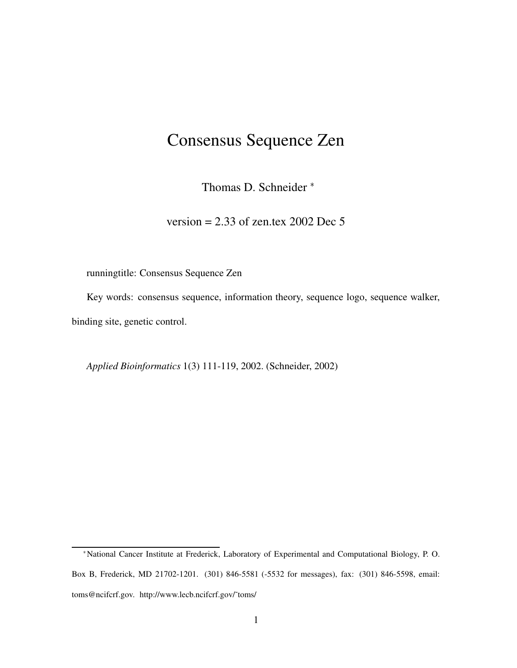## Consensus Sequence Zen

Thomas D. Schneider

version =  $2.33$  of zen.tex 2002 Dec  $5$ 

runningtitle: Consensus Sequence Zen

Key words: consensus sequence, information theory, sequence logo, sequence walker, binding site, genetic control.

*Applied Bioinformatics* 1(3) 111-119, 2002. (Schneider, 2002)

National Cancer Institute at Frederick, Laboratory of Experimental and Computational Biology, P. O. Box B, Frederick, MD 21702-1201. (301) 846-5581 (-5532 for messages), fax: (301) 846-5598, email: toms@ncifcrf.gov. http://www.lecb.ncifcrf.gov/˜toms/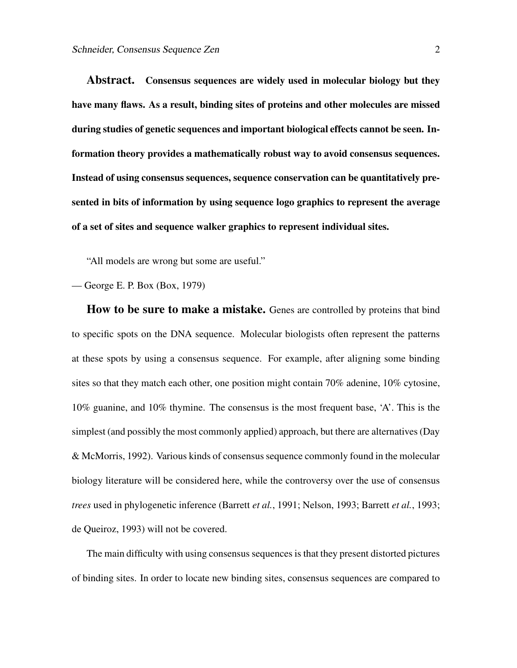**Abstract. Consensus sequences are widely used in molecular biology but they have many flaws. As a result, binding sites of proteins and other molecules are missed during studies of genetic sequences and important biological effects cannot be seen. Information theory provides a mathematically robust way to avoid consensus sequences. Instead of using consensus sequences, sequence conservation can be quantitatively presented in bits of information by using sequence logo graphics to represent the average of a set of sites and sequence walker graphics to represent individual sites.**

"All models are wrong but some are useful."

— George E. P. Box (Box, 1979)

**How to be sure to make a mistake.** Genes are controlled by proteins that bind to specific spots on the DNA sequence. Molecular biologists often represent the patterns at these spots by using a consensus sequence. For example, after aligning some binding sites so that they match each other, one position might contain 70% adenine, 10% cytosine, 10% guanine, and 10% thymine. The consensus is the most frequent base, 'A'. This is the simplest (and possibly the most commonly applied) approach, but there are alternatives(Day & McMorris, 1992). Various kinds of consensussequence commonly found in the molecular biology literature will be considered here, while the controversy over the use of consensus *trees* used in phylogenetic inference (Barrett *et al.*, 1991; Nelson, 1993; Barrett *et al.*, 1993; de Queiroz, 1993) will not be covered.

The main difficulty with using consensus sequences is that they present distorted pictures of binding sites. In order to locate new binding sites, consensus sequences are compared to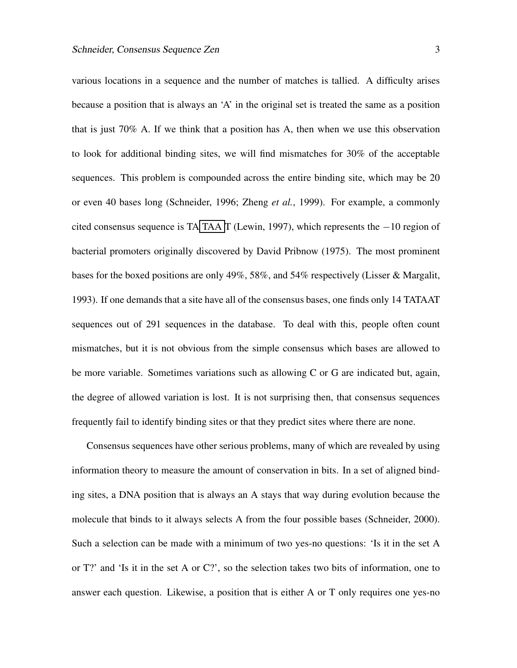various locations in a sequence and the number of matches is tallied. A difficulty arises because a position that is always an 'A' in the original set is treated the same as a position that is just 70% A. If we think that a position has A, then when we use this observation to look for additional binding sites, we will find mismatches for 30% of the acceptable sequences. This problem is compounded across the entire binding site, which may be 20 or even 40 bases long (Schneider, 1996; Zheng *et al.*, 1999). For example, a commonly cited consensus sequence is TA TAA  $\Gamma$  (Lewin, 1997), which represents the  $-10$  region of bacterial promoters originally discovered by David Pribnow (1975). The most prominent bases for the boxed positions are only 49%, 58%, and 54% respectively (Lisser & Margalit, 1993). If one demands that a site have all of the consensus bases, one finds only 14 TATAAT sequences out of 291 sequences in the database. To deal with this, people often count mismatches, but it is not obvious from the simple consensus which bases are allowed to be more variable. Sometimes variations such as allowing C or G are indicated but, again, the degree of allowed variation is lost. It is not surprising then, that consensus sequences frequently fail to identify binding sites or that they predict sites where there are none.

Consensus sequences have other serious problems, many of which are revealed by using information theory to measure the amount of conservation in bits. In a set of aligned binding sites, a DNA position that is always an A stays that way during evolution because the molecule that binds to it always selects A from the four possible bases (Schneider, 2000). Such a selection can be made with a minimum of two yes-no questions: 'Is it in the set A or T?' and 'Is it in the set A or C?', so the selection takes two bits of information, one to answer each question. Likewise, a position that is either A or T only requires one yes-no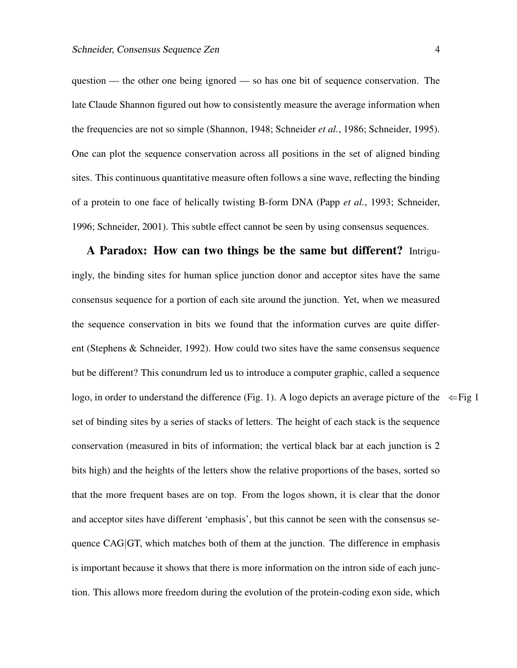question — the other one being ignored — so has one bit of sequence conservation. The late Claude Shannon figured out how to consistently measure the average information when the frequencies are not so simple (Shannon, 1948; Schneider *et al.*, 1986; Schneider, 1995). One can plot the sequence conservation across all positions in the set of aligned binding sites. This continuous quantitative measure often follows a sine wave, reflecting the binding of a protein to one face of helically twisting B-form DNA (Papp *et al.*, 1993; Schneider, 1996; Schneider, 2001). This subtle effect cannot be seen by using consensus sequences.

**A Paradox: How can two things be the same but different?** Intriguingly, the binding sites for human splice junction donor and acceptor sites have the same consensus sequence for a portion of each site around the junction. Yet, when we measured the sequence conservation in bits we found that the information curves are quite different (Stephens & Schneider, 1992). How could two sites have the same consensus sequence but be different? This conundrum led us to introduce a computer graphic, called a sequence logo, in order to understand the difference (Fig. 1). A logo depicts an average picture of the  $\leftarrow$  Fig 1 set of binding sites by a series of stacks of letters. The height of each stack is the sequence conservation (measured in bits of information; the vertical black bar at each junction is 2 bits high) and the heights of the letters show the relative proportions of the bases, sorted so that the more frequent bases are on top. From the logos shown, it is clear that the donor and acceptor sites have different 'emphasis', but this cannot be seen with the consensus sequence CAG GT, which matches both of them at the junction. The difference in emphasis is important because it shows that there is more information on the intron side of each junction. This allows more freedom during the evolution of the protein-coding exon side, which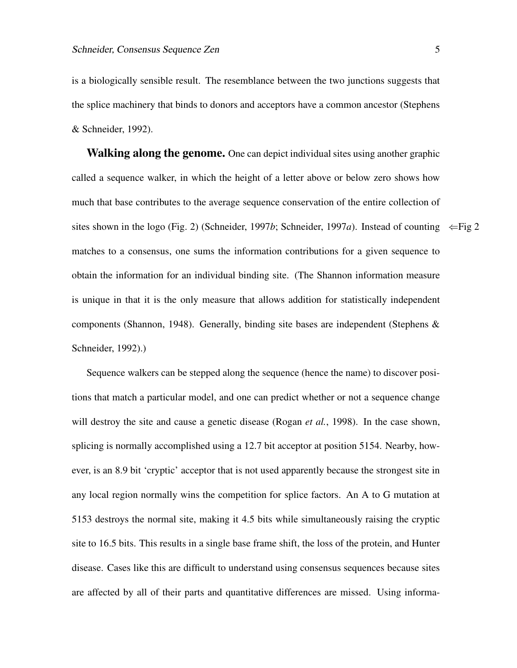is a biologically sensible result. The resemblance between the two junctions suggests that the splice machinery that binds to donors and acceptors have a common ancestor (Stephens & Schneider, 1992).

**Walking along the genome.** One can depict individual sites using another graphic called a sequence walker, in which the height of a letter above or below zero shows how much that base contributes to the average sequence conservation of the entire collection of sites shown in the logo (Fig. 2) (Schneider, 1997*b*; Schneider, 1997*a*). Instead of counting  $\Leftarrow$  Fig 2 matches to a consensus, one sums the information contributions for a given sequence to obtain the information for an individual binding site. (The Shannon information measure is unique in that it is the only measure that allows addition for statistically independent components (Shannon, 1948). Generally, binding site bases are independent (Stephens & Schneider, 1992).)

Sequence walkers can be stepped along the sequence (hence the name) to discover positions that match a particular model, and one can predict whether or not a sequence change will destroy the site and cause a genetic disease (Rogan *et al.*, 1998). In the case shown, splicing is normally accomplished using a 12.7 bit acceptor at position 5154. Nearby, however, is an 8.9 bit 'cryptic' acceptor that is not used apparently because the strongest site in any local region normally wins the competition for splice factors. An A to G mutation at 5153 destroys the normal site, making it 4.5 bits while simultaneously raising the cryptic site to 16.5 bits. This results in a single base frame shift, the loss of the protein, and Hunter disease. Cases like this are difficult to understand using consensus sequences because sites are affected by all of their parts and quantitative differences are missed. Using informa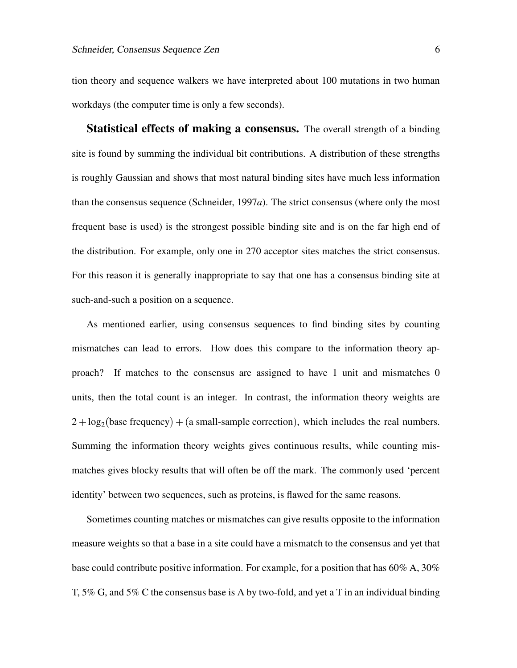tion theory and sequence walkers we have interpreted about 100 mutations in two human workdays (the computer time is only a few seconds).

**Statistical effects of making a consensus.** The overall strength of a binding site is found by summing the individual bit contributions. A distribution of these strengths is roughly Gaussian and shows that most natural binding sites have much less information than the consensus sequence (Schneider, 1997*a*). The strict consensus (where only the most frequent base is used) is the strongest possible binding site and is on the far high end of the distribution. For example, only one in 270 acceptor sites matches the strict consensus. For this reason it is generally inappropriate to say that one has a consensus binding site at such-and-such a position on a sequence.

As mentioned earlier, using consensus sequences to find binding sites by counting mismatches can lead to errors. How does this compare to the information theory approach? If matches to the consensus are assigned to have 1 unit and mismatches 0 units, then the total count is an integer. In contrast, the information theory weights are  $2 + \log_2(b$  ase frequency  $) + (a$  small-sample correction), which includes the real numbers. Summing the information theory weights gives continuous results, while counting mismatches gives blocky results that will often be off the mark. The commonly used 'percent identity' between two sequences, such as proteins, is flawed for the same reasons.

Sometimes counting matches or mismatches can give results opposite to the information measure weights so that a base in a site could have a mismatch to the consensus and yet that base could contribute positive information. For example, for a position that has 60% A, 30% T, 5% G, and 5% C the consensus base is A by two-fold, and yet a T in an individual binding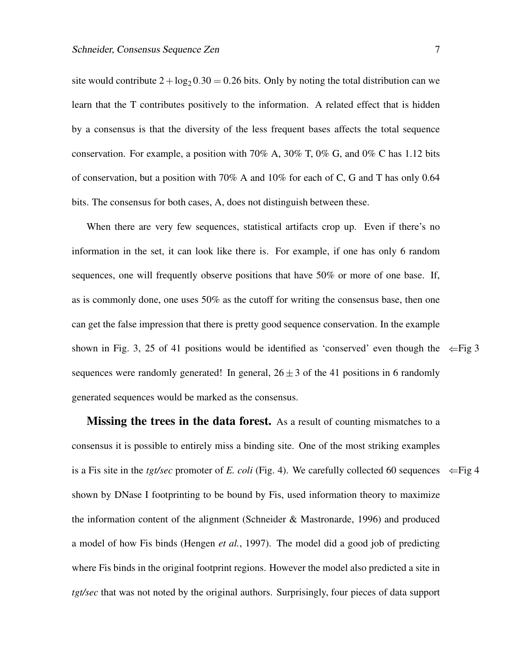site would contribute  $2 + \log_2 0.30 = 0.26$  bits. Only by noting the total distribution can we learn that the T contributes positively to the information. A related effect that is hidden by a consensus is that the diversity of the less frequent bases affects the total sequence conservation. For example, a position with 70% A, 30% T, 0% G, and 0% C has 1.12 bits of conservation, but a position with 70% A and 10% for each of C, G and T has only 0.64 bits. The consensus for both cases, A, does not distinguish between these.

When there are very few sequences, statistical artifacts crop up. Even if there's no information in the set, it can look like there is. For example, if one has only 6 random sequences, one will frequently observe positions that have 50% or more of one base. If, as is commonly done, one uses 50% as the cutoff for writing the consensus base, then one can get the false impression that there is pretty good sequence conservation. In the example shown in Fig. 3, 25 of 41 positions would be identified as 'conserved' even though the  $\leftarrow$  Fig 3 sequences were randomly generated! In general,  $26 \pm 3$  of the 41 positions in 6 randomly generated sequences would be marked as the consensus.

**Missing the trees in the data forest.** As a result of counting mismatches to a consensus it is possible to entirely miss a binding site. One of the most striking examples is a Fis site in the *tgt/sec* promoter of *E. coli* (Fig. 4). We carefully collected 60 sequences  $\Leftarrow$  Fig 4 shown by DNase I footprinting to be bound by Fis, used information theory to maximize the information content of the alignment (Schneider & Mastronarde, 1996) and produced a model of how Fis binds (Hengen *et al.*, 1997). The model did a good job of predicting where Fis binds in the original footprint regions. However the model also predicted a site in *tgt/sec* that was not noted by the original authors. Surprisingly, four pieces of data support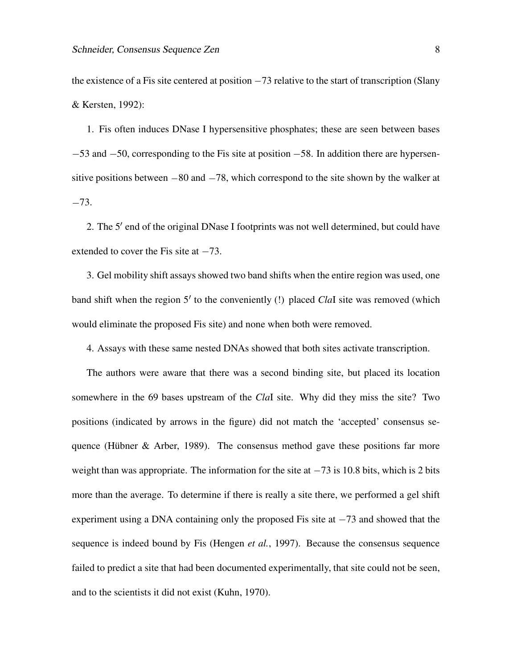the existence of a Fis site centered at position  $-73$  relative to the start of transcription (Slany & Kersten, 1992):

1. Fis often induces DNase I hypersensitive phosphates; these are seen between bases  $-53$  and  $-50$ , corresponding to the Fis site at position  $-58$ . In addition there are hypersensitive positions between  $-80$  and  $-78$ , which correspond to the site shown by the walker at  $-73.$ 

2. The  $5'$  end of the original DNase I footprints was not well determined, but could have extended to cover the Fis site at  $-73$ .

3. Gel mobility shift assays showed two band shifts when the entire region was used, one band shift when the region 5' to the conveniently (!) placed *ClaI* site was removed (which would eliminate the proposed Fis site) and none when both were removed.

4. Assays with these same nested DNAs showed that both sites activate transcription.

The authors were aware that there was a second binding site, but placed its location somewhere in the 69 bases upstream of the *Cla*I site. Why did they miss the site? Two positions (indicated by arrows in the figure) did not match the 'accepted' consensus sequence (Hübner  $&$  Arber, 1989). The consensus method gave these positions far more weight than was appropriate. The information for the site at  $-73$  is 10.8 bits, which is 2 bits more than the average. To determine if there is really a site there, we performed a gel shift experiment using a DNA containing only the proposed Fis site at  $-73$  and showed that the sequence is indeed bound by Fis (Hengen *et al.*, 1997). Because the consensus sequence failed to predict a site that had been documented experimentally, that site could not be seen, and to the scientists it did not exist (Kuhn, 1970).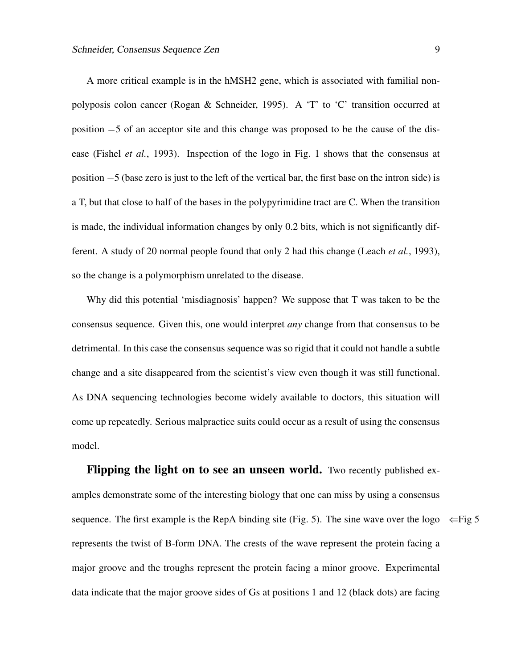A more critical example is in the hMSH2 gene, which is associated with familial nonpolyposis colon cancer (Rogan & Schneider, 1995). A 'T' to 'C' transition occurred at position  $-5$  of an acceptor site and this change was proposed to be the cause of the disease (Fishel *et al.*, 1993). Inspection of the logo in Fig. 1 shows that the consensus at position  $-5$  (base zero is just to the left of the vertical bar, the first base on the intron side) is a T, but that close to half of the bases in the polypyrimidine tract are C. When the transition is made, the individual information changes by only 0.2 bits, which is not significantly different. A study of 20 normal people found that only 2 had this change (Leach *et al.*, 1993), so the change is a polymorphism unrelated to the disease.

Why did this potential 'misdiagnosis' happen? We suppose that T was taken to be the consensus sequence. Given this, one would interpret *any* change from that consensus to be detrimental. In this case the consensus sequence was so rigid that it could not handle a subtle change and a site disappeared from the scientist's view even though it was still functional. As DNA sequencing technologies become widely available to doctors, this situation will come up repeatedly. Serious malpractice suits could occur as a result of using the consensus model.

**Flipping the light on to see an unseen world.** Two recently published examples demonstrate some of the interesting biology that one can miss by using a consensus sequence. The first example is the RepA binding site (Fig. 5). The sine wave over the logo  $\Leftarrow$  Fig 5 represents the twist of B-form DNA. The crests of the wave represent the protein facing a major groove and the troughs represent the protein facing a minor groove. Experimental data indicate that the major groove sides of Gs at positions 1 and 12 (black dots) are facing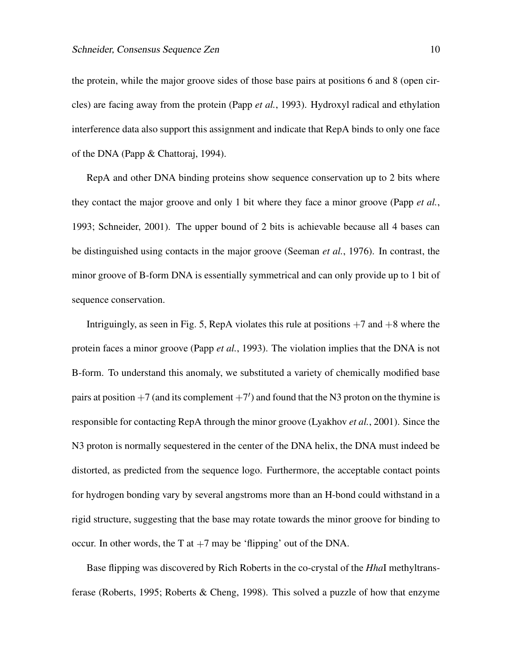the protein, while the major groove sides of those base pairs at positions 6 and 8 (open circles) are facing away from the protein (Papp *et al.*, 1993). Hydroxyl radical and ethylation interference data also support this assignment and indicate that RepA binds to only one face of the DNA (Papp & Chattoraj, 1994).

RepA and other DNA binding proteins show sequence conservation up to 2 bits where they contact the major groove and only 1 bit where they face a minor groove (Papp *et al.*, 1993; Schneider, 2001). The upper bound of 2 bits is achievable because all 4 bases can be distinguished using contacts in the major groove (Seeman *et al.*, 1976). In contrast, the minor groove of B-form DNA is essentially symmetrical and can only provide up to 1 bit of sequence conservation.

Intriguingly, as seen in Fig. 5, RepA violates this rule at positions  $+7$  and  $+8$  where the protein faces a minor groove (Papp *et al.*, 1993). The violation implies that the DNA is not B-form. To understand this anomaly, we substituted a variety of chemically modified base pairs at position  $+7$  (and its complement  $+7'$ ) and found that the N3 proton on the thymine is responsible for contacting RepA through the minor groove (Lyakhov *et al.*, 2001). Since the N3 proton is normally sequestered in the center of the DNA helix, the DNA must indeed be distorted, as predicted from the sequence logo. Furthermore, the acceptable contact points for hydrogen bonding vary by several angstroms more than an H-bond could withstand in a rigid structure, suggesting that the base may rotate towards the minor groove for binding to occur. In other words, the T at  $+7$  may be 'flipping' out of the DNA.

Base flipping was discovered by Rich Roberts in the co-crystal of the *Hha*I methyltransferase (Roberts, 1995; Roberts & Cheng, 1998). This solved a puzzle of how that enzyme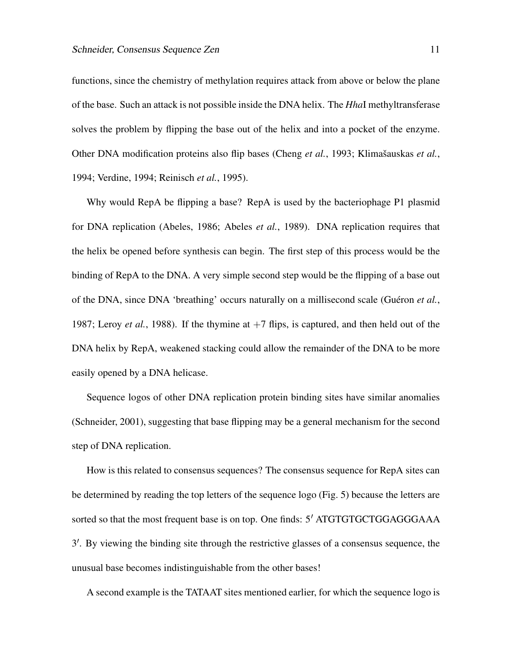functions, since the chemistry of methylation requires attack from above or below the plane of the base. Such an attack is not possible inside the DNA helix. The *Hha*I methyltransferase solves the problem by flipping the base out of the helix and into a pocket of the enzyme. Other DNA modification proteins also flip bases (Cheng *et al.*, 1993; Klimašauskas *et al.*, 1994; Verdine, 1994; Reinisch *et al.*, 1995).

Why would RepA be flipping a base? RepA is used by the bacteriophage P1 plasmid for DNA replication (Abeles, 1986; Abeles *et al.*, 1989). DNA replication requires that the helix be opened before synthesis can begin. The first step of this process would be the binding of RepA to the DNA. A very simple second step would be the flipping of a base out of the DNA, since DNA 'breathing' occurs naturally on a millisecond scale (Guéron *et al.*, 1987; Leroy *et al.*, 1988). If the thymine at  $+7$  flips, is captured, and then held out of the DNA helix by RepA, weakened stacking could allow the remainder of the DNA to be more easily opened by a DNA helicase.

Sequence logos of other DNA replication protein binding sites have similar anomalies (Schneider, 2001), suggesting that base flipping may be a general mechanism for the second step of DNA replication.

How is this related to consensus sequences? The consensus sequence for RepA sites can be determined by reading the top letters of the sequence logo (Fig. 5) because the letters are sorted so that the most frequent base is on top. One finds: 5' ATGTGTGCTGGAGGGAAA  $3'$ . By viewing the binding site through the restrictive glasses of a consensus sequence, the unusual base becomes indistinguishable from the other bases!

A second example is the TATAAT sites mentioned earlier, for which the sequence logo is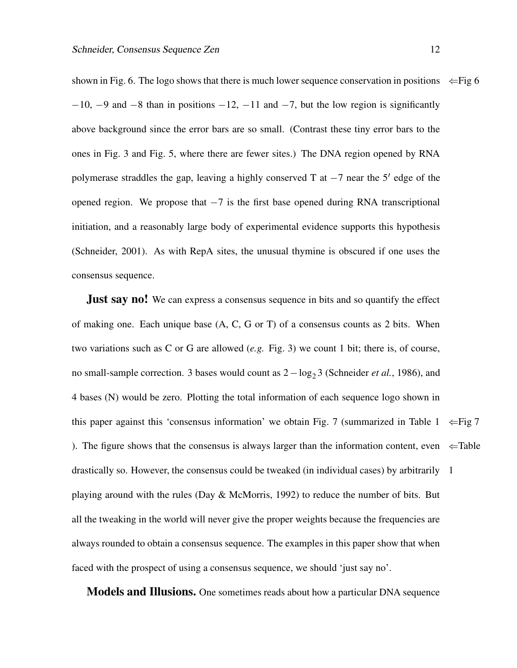shown in Fig. 6. The logo shows that there is much lower sequence conservation in positions  $\epsilon$ Fig 6  $-10$ ,  $-9$  and  $-8$  than in positions  $-12$ ,  $-11$  and  $-7$ , but the low region is significantly above background since the error bars are so small. (Contrast these tiny error bars to the ones in Fig. 3 and Fig. 5, where there are fewer sites.) The DNA region opened by RNA polymerase straddles the gap, leaving a highly conserved T at  $-7$  near the 5' edge of the opened region. We propose that  $-7$  is the first base opened during RNA transcriptional initiation, and a reasonably large body of experimental evidence supports this hypothesis (Schneider, 2001). As with RepA sites, the unusual thymine is obscured if one uses the consensus sequence.

**Just say no!** We can express a consensus sequence in bits and so quantify the effect of making one. Each unique base (A, C, G or T) of a consensus counts as 2 bits. When two variations such as C or G are allowed (*e.g.* Fig. 3) we count 1 bit; there is, of course, no small-sample correction. 3 bases would count as  $2 - \log_2 3$  (Schneider *et al.*, 1986), and 4 bases (N) would be zero. Plotting the total information of each sequence logo shown in this paper against this 'consensus information' we obtain Fig. 7 (summarized in Table 1  $\Leftarrow$  Fig 7 ). The figure shows that the consensus is always larger than the information content, even  $\leftarrow$  Table drastically so. However, the consensus could be tweaked (in individual cases) by arbitrarily 1 playing around with the rules (Day & McMorris, 1992) to reduce the number of bits. But all the tweaking in the world will never give the proper weights because the frequencies are always rounded to obtain a consensus sequence. The examples in this paper show that when faced with the prospect of using a consensus sequence, we should 'just say no'.

**Models and Illusions.** One sometimes reads about how a particular DNA sequence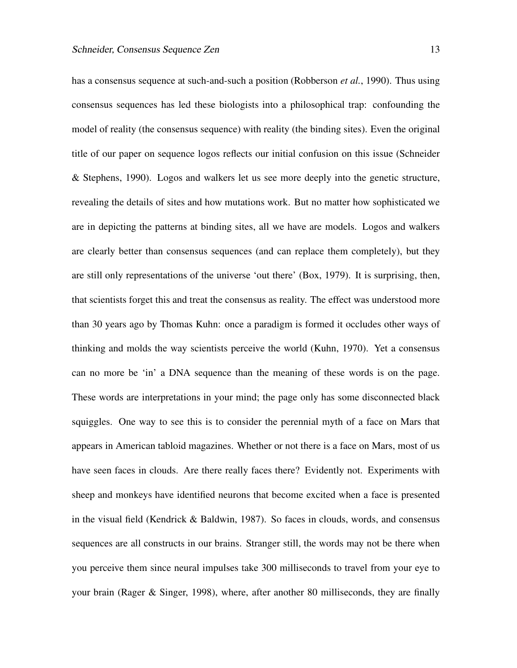has a consensus sequence at such-and-such a position (Robberson *et al.*, 1990). Thus using consensus sequences has led these biologists into a philosophical trap: confounding the model of reality (the consensus sequence) with reality (the binding sites). Even the original title of our paper on sequence logos reflects our initial confusion on this issue (Schneider & Stephens, 1990). Logos and walkers let us see more deeply into the genetic structure, revealing the details of sites and how mutations work. But no matter how sophisticated we are in depicting the patterns at binding sites, all we have are models. Logos and walkers are clearly better than consensus sequences (and can replace them completely), but they are still only representations of the universe 'out there' (Box, 1979). It is surprising, then, that scientists forget this and treat the consensus as reality. The effect was understood more than 30 years ago by Thomas Kuhn: once a paradigm is formed it occludes other ways of thinking and molds the way scientists perceive the world (Kuhn, 1970). Yet a consensus can no more be 'in' a DNA sequence than the meaning of these words is on the page. These words are interpretations in your mind; the page only has some disconnected black squiggles. One way to see this is to consider the perennial myth of a face on Mars that appears in American tabloid magazines. Whether or not there is a face on Mars, most of us have seen faces in clouds. Are there really faces there? Evidently not. Experiments with sheep and monkeys have identified neurons that become excited when a face is presented in the visual field (Kendrick & Baldwin, 1987). So faces in clouds, words, and consensus sequences are all constructs in our brains. Stranger still, the words may not be there when you perceive them since neural impulses take 300 milliseconds to travel from your eye to your brain (Rager & Singer, 1998), where, after another 80 milliseconds, they are finally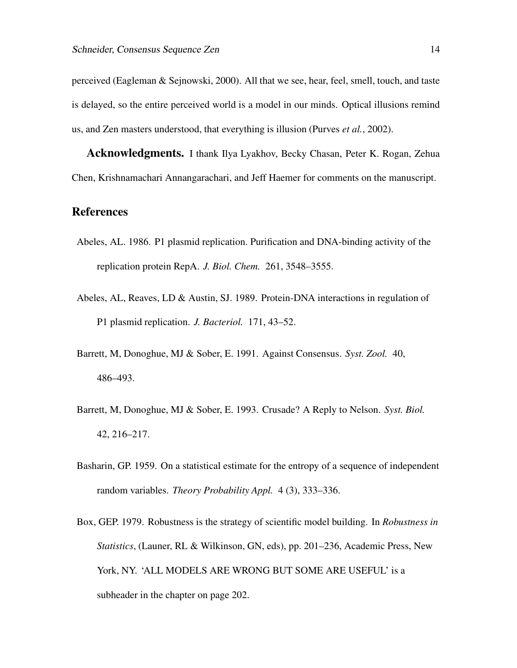perceived (Eagleman & Sejnowski, 2000). All that we see, hear, feel, smell, touch, and taste is delayed, so the entire perceived world is a model in our minds. Optical illusions remind us, and Zen masters understood, that everything is illusion (Purves *et al.*, 2002).

**Acknowledgments.** I thank Ilya Lyakhov, Becky Chasan, Peter K. Rogan, Zehua Chen, Krishnamachari Annangarachari, and Jeff Haemer for comments on the manuscript.

## **References**

- Abeles, AL. 1986. P1 plasmid replication. Purification and DNA-binding activity of the replication protein RepA. *J. Biol. Chem.* 261, 3548–3555.
- Abeles, AL, Reaves, LD & Austin, SJ. 1989. Protein-DNA interactions in regulation of P1 plasmid replication. *J. Bacteriol.* 171, 43–52.
- Barrett, M, Donoghue, MJ & Sober, E. 1991. Against Consensus. *Syst. Zool.* 40, 486–493.
- Barrett, M, Donoghue, MJ & Sober, E. 1993. Crusade? A Reply to Nelson. *Syst. Biol.* 42, 216–217.
- Basharin, GP. 1959. On a statistical estimate for the entropy of a sequence of independent random variables. *Theory Probability Appl.* 4 (3), 333–336.
- Box, GEP. 1979. Robustness is the strategy of scientific model building. In *Robustness in Statistics*, (Launer, RL & Wilkinson, GN, eds), pp. 201–236, Academic Press, New York, NY. 'ALL MODELS ARE WRONG BUT SOME ARE USEFUL' is a subheader in the chapter on page 202.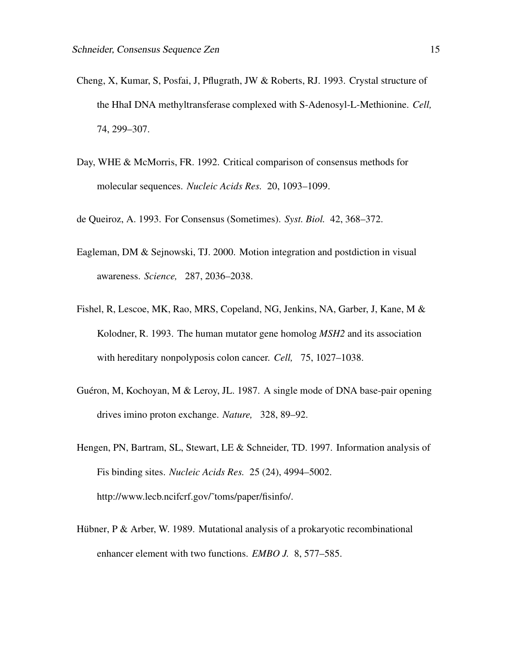- Cheng, X, Kumar, S, Posfai, J, Pflugrath, JW & Roberts, RJ. 1993. Crystal structure of the HhaI DNA methyltransferase complexed with S-Adenosyl-L-Methionine. *Cell,* 74, 299–307.
- Day, WHE & McMorris, FR. 1992. Critical comparison of consensus methods for molecular sequences. *Nucleic Acids Res.* 20, 1093–1099.
- de Queiroz, A. 1993. For Consensus (Sometimes). *Syst. Biol.* 42, 368–372.
- Eagleman, DM & Sejnowski, TJ. 2000. Motion integration and postdiction in visual awareness. *Science,* 287, 2036–2038.
- Fishel, R, Lescoe, MK, Rao, MRS, Copeland, NG, Jenkins, NA, Garber, J, Kane, M & Kolodner, R. 1993. The human mutator gene homolog *MSH2* and its association with hereditary nonpolyposis colon cancer. *Cell,* 75, 1027–1038.
- Guéron, M, Kochoyan, M & Leroy, JL. 1987. A single mode of DNA base-pair opening drives imino proton exchange. *Nature,* 328, 89–92.
- Hengen, PN, Bartram, SL, Stewart, LE & Schneider, TD. 1997. Information analysis of Fis binding sites. *Nucleic Acids Res.* 25 (24), 4994–5002. http://www.lecb.ncifcrf.gov/˜toms/paper/fisinfo/.
- Hübner,  $P \&$  Arber, W. 1989. Mutational analysis of a prokaryotic recombinational enhancer element with two functions. *EMBO J.* 8, 577–585.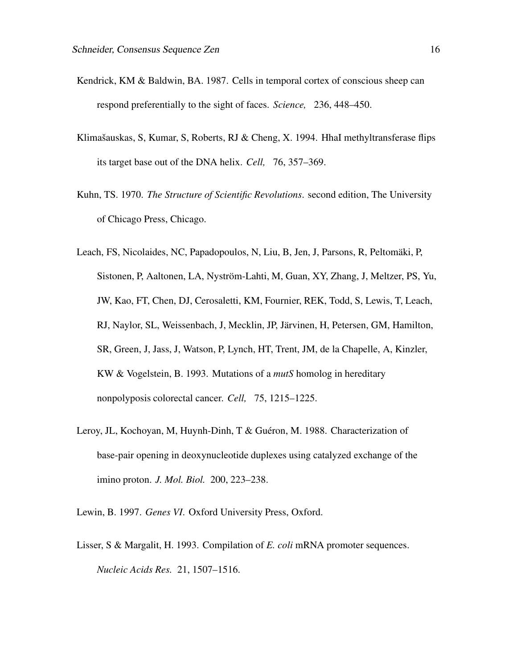- Kendrick, KM & Baldwin, BA. 1987. Cells in temporal cortex of conscious sheep can respond preferentially to the sight of faces. *Science,* 236, 448–450.
- Klimašauskas, S, Kumar, S, Roberts, RJ & Cheng, X. 1994. HhaI methyltransferase flips its target base out of the DNA helix. *Cell,* 76, 357–369.
- Kuhn, TS. 1970. *The Structure of Scientific Revolutions*. second edition, The University of Chicago Press, Chicago.
- Leach, FS, Nicolaides, NC, Papadopoulos, N, Liu, B, Jen, J, Parsons, R, Peltomäki, P, Sistonen, P, Aaltonen, LA, Nyström-Lahti, M, Guan, XY, Zhang, J, Meltzer, PS, Yu, JW, Kao, FT, Chen, DJ, Cerosaletti, KM, Fournier, REK, Todd, S, Lewis, T, Leach, RJ, Naylor, SL, Weissenbach, J, Mecklin, JP, Järvinen, H, Petersen, GM, Hamilton, SR, Green, J, Jass, J, Watson, P, Lynch, HT, Trent, JM, de la Chapelle, A, Kinzler, KW & Vogelstein, B. 1993. Mutations of a *mutS* homolog in hereditary nonpolyposis colorectal cancer. *Cell,* 75, 1215–1225.
- Leroy, JL, Kochoyan, M, Huynh-Dinh, T & Guéron, M. 1988. Characterization of base-pair opening in deoxynucleotide duplexes using catalyzed exchange of the imino proton. *J. Mol. Biol.* 200, 223–238.
- Lewin, B. 1997. *Genes VI*. Oxford University Press, Oxford.
- Lisser, S & Margalit, H. 1993. Compilation of *E. coli* mRNA promoter sequences. *Nucleic Acids Res.* 21, 1507–1516.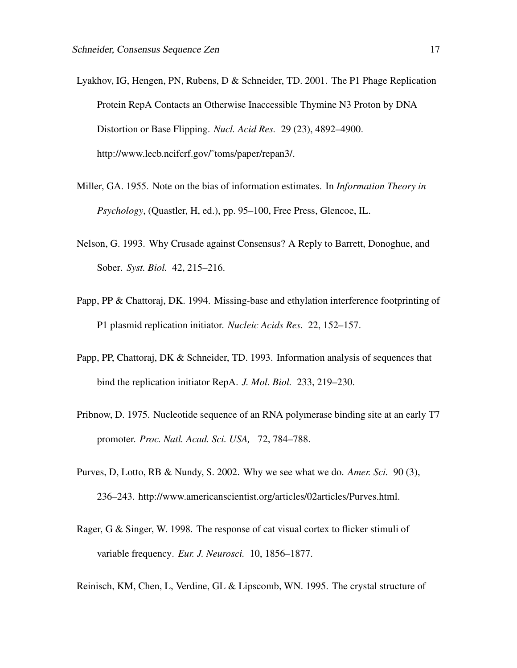- Lyakhov, IG, Hengen, PN, Rubens, D & Schneider, TD. 2001. The P1 Phage Replication Protein RepA Contacts an Otherwise Inaccessible Thymine N3 Proton by DNA Distortion or Base Flipping. *Nucl. Acid Res.* 29 (23), 4892–4900. http://www.lecb.ncifcrf.gov/˜toms/paper/repan3/.
- Miller, GA. 1955. Note on the bias of information estimates. In *Information Theory in Psychology*, (Quastler, H, ed.), pp. 95–100, Free Press, Glencoe, IL.
- Nelson, G. 1993. Why Crusade against Consensus? A Reply to Barrett, Donoghue, and Sober. *Syst. Biol.* 42, 215–216.
- Papp, PP & Chattoraj, DK. 1994. Missing-base and ethylation interference footprinting of P1 plasmid replication initiator. *Nucleic Acids Res.* 22, 152–157.
- Papp, PP, Chattoraj, DK & Schneider, TD. 1993. Information analysis of sequences that bind the replication initiator RepA. *J. Mol. Biol.* 233, 219–230.
- Pribnow, D. 1975. Nucleotide sequence of an RNA polymerase binding site at an early T7 promoter. *Proc. Natl. Acad. Sci. USA,* 72, 784–788.
- Purves, D, Lotto, RB & Nundy, S. 2002. Why we see what we do. *Amer. Sci.* 90 (3), 236–243. http://www.americanscientist.org/articles/02articles/Purves.html.
- Rager, G & Singer, W. 1998. The response of cat visual cortex to flicker stimuli of variable frequency. *Eur. J. Neurosci.* 10, 1856–1877.
- Reinisch, KM, Chen, L, Verdine, GL & Lipscomb, WN. 1995. The crystal structure of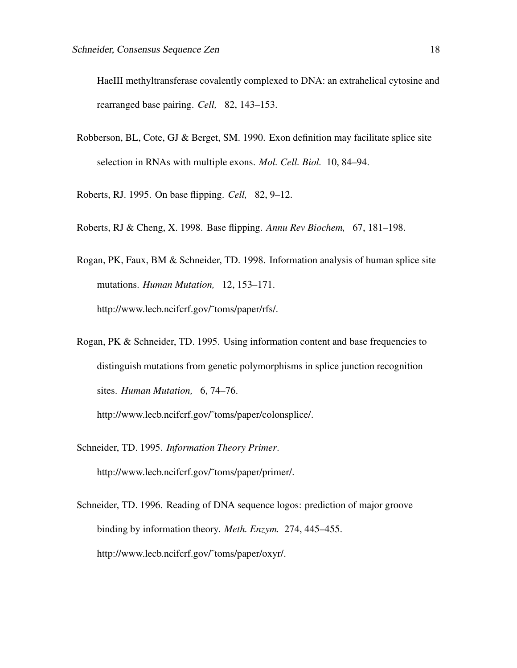HaeIII methyltransferase covalently complexed to DNA: an extrahelical cytosine and rearranged base pairing. *Cell,* 82, 143–153.

- Robberson, BL, Cote, GJ & Berget, SM. 1990. Exon definition may facilitate splice site selection in RNAs with multiple exons. *Mol. Cell. Biol.* 10, 84–94.
- Roberts, RJ. 1995. On base flipping. *Cell,* 82, 9–12.
- Roberts, RJ & Cheng, X. 1998. Base flipping. *Annu Rev Biochem,* 67, 181–198.
- Rogan, PK, Faux, BM & Schneider, TD. 1998. Information analysis of human splice site mutations. *Human Mutation,* 12, 153–171. http://www.lecb.ncifcrf.gov/˜toms/paper/rfs/.
- Rogan, PK & Schneider, TD. 1995. Using information content and base frequencies to distinguish mutations from genetic polymorphisms in splice junction recognition sites. *Human Mutation,* 6, 74–76.

http://www.lecb.ncifcrf.gov/˜toms/paper/colonsplice/.

- Schneider, TD. 1995. *Information Theory Primer*. http://www.lecb.ncifcrf.gov/˜toms/paper/primer/.
- Schneider, TD. 1996. Reading of DNA sequence logos: prediction of major groove binding by information theory. *Meth. Enzym.* 274, 445–455. http://www.lecb.ncifcrf.gov/˜toms/paper/oxyr/.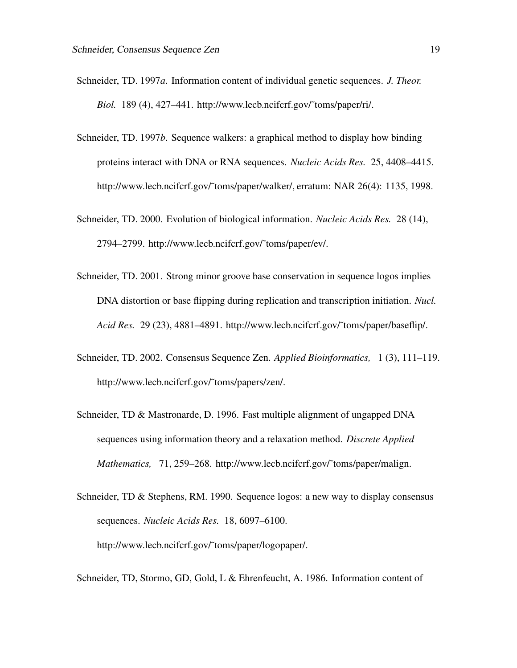- Schneider, TD. 1997*a*. Information content of individual genetic sequences. *J. Theor. Biol.* 189 (4), 427–441. http://www.lecb.ncifcrf.gov/˜toms/paper/ri/.
- Schneider, TD. 1997*b*. Sequence walkers: a graphical method to display how binding proteins interact with DNA or RNA sequences. *Nucleic Acids Res.* 25, 4408–4415. http://www.lecb.ncifcrf.gov/~toms/paper/walker/, erratum: NAR 26(4): 1135, 1998.
- Schneider, TD. 2000. Evolution of biological information. *Nucleic Acids Res.* 28 (14), 2794–2799. http://www.lecb.ncifcrf.gov/˜toms/paper/ev/.
- Schneider, TD. 2001. Strong minor groove base conservation in sequence logos implies DNA distortion or base flipping during replication and transcription initiation. *Nucl. Acid Res.* 29 (23), 4881–4891. http://www.lecb.ncifcrf.gov/˜toms/paper/baseflip/.
- Schneider, TD. 2002. Consensus Sequence Zen. *Applied Bioinformatics,* 1 (3), 111–119. http://www.lecb.ncifcrf.gov/˜toms/papers/zen/.
- Schneider, TD & Mastronarde, D. 1996. Fast multiple alignment of ungapped DNA sequences using information theory and a relaxation method. *Discrete Applied Mathematics,* 71, 259–268. http://www.lecb.ncifcrf.gov/˜toms/paper/malign.
- Schneider, TD & Stephens, RM. 1990. Sequence logos: a new way to display consensus sequences. *Nucleic Acids Res.* 18, 6097–6100. http://www.lecb.ncifcrf.gov/˜toms/paper/logopaper/.
- Schneider, TD, Stormo, GD, Gold, L & Ehrenfeucht, A. 1986. Information content of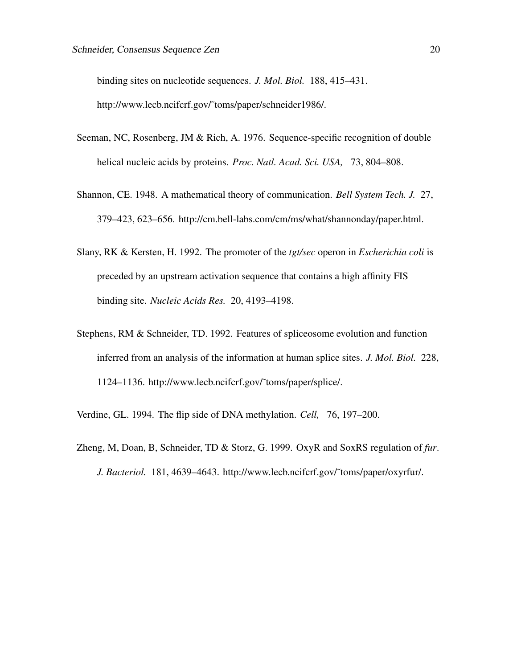binding sites on nucleotide sequences. *J. Mol. Biol.* 188, 415–431. http://www.lecb.ncifcrf.gov/˜toms/paper/schneider1986/.

- Seeman, NC, Rosenberg, JM & Rich, A. 1976. Sequence-specific recognition of double helical nucleic acids by proteins. *Proc. Natl. Acad. Sci. USA,* 73, 804–808.
- Shannon, CE. 1948. A mathematical theory of communication. *Bell System Tech. J.* 27, 379–423, 623–656. http://cm.bell-labs.com/cm/ms/what/shannonday/paper.html.
- Slany, RK & Kersten, H. 1992. The promoter of the *tgt/sec* operon in *Escherichia coli* is preceded by an upstream activation sequence that contains a high affinity FIS binding site. *Nucleic Acids Res.* 20, 4193–4198.
- Stephens, RM & Schneider, TD. 1992. Features of spliceosome evolution and function inferred from an analysis of the information at human splice sites. *J. Mol. Biol.* 228, 1124–1136. http://www.lecb.ncifcrf.gov/˜toms/paper/splice/.
- Verdine, GL. 1994. The flip side of DNA methylation. *Cell,* 76, 197–200.
- Zheng, M, Doan, B, Schneider, TD & Storz, G. 1999. OxyR and SoxRS regulation of *fur*. *J. Bacteriol.* 181, 4639–4643. http://www.lecb.ncifcrf.gov/˜toms/paper/oxyrfur/.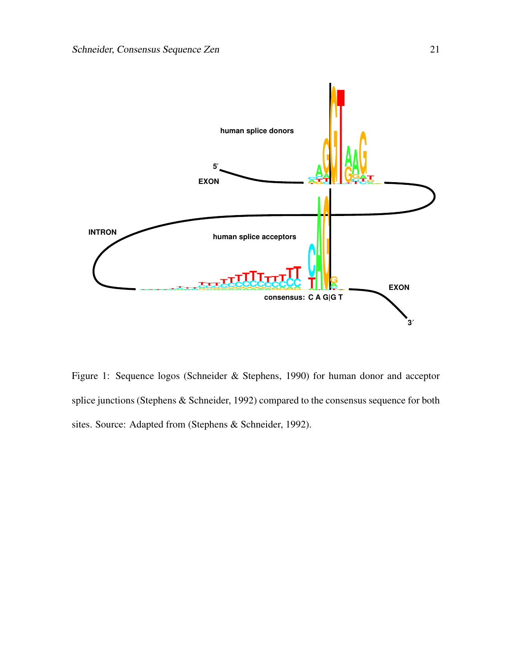

Figure 1: Sequence logos (Schneider & Stephens, 1990) for human donor and acceptor splice junctions (Stephens & Schneider, 1992) compared to the consensus sequence for both sites. Source: Adapted from (Stephens & Schneider, 1992).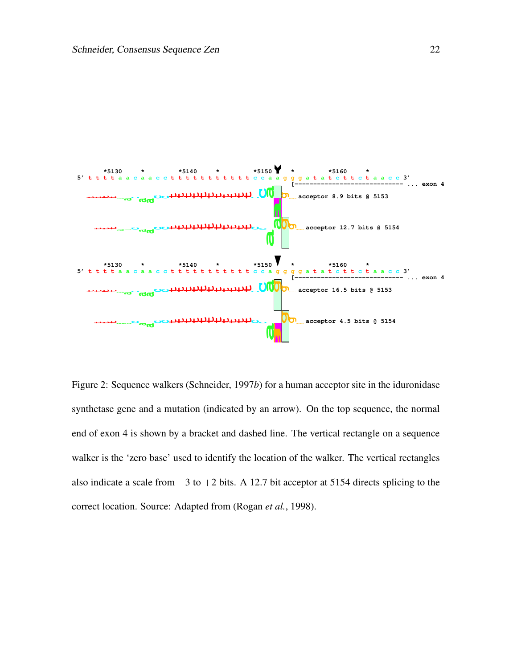

Figure 2: Sequence walkers (Schneider, 1997*b*) for a human acceptor site in the iduronidase synthetase gene and a mutation (indicated by an arrow). On the top sequence, the normal end of exon 4 is shown by a bracket and dashed line. The vertical rectangle on a sequence walker is the 'zero base' used to identify the location of the walker. The vertical rectangles also indicate a scale from  $-3$  to  $+2$  bits. A 12.7 bit acceptor at 5154 directs splicing to the correct location. Source: Adapted from (Rogan *et al.*, 1998).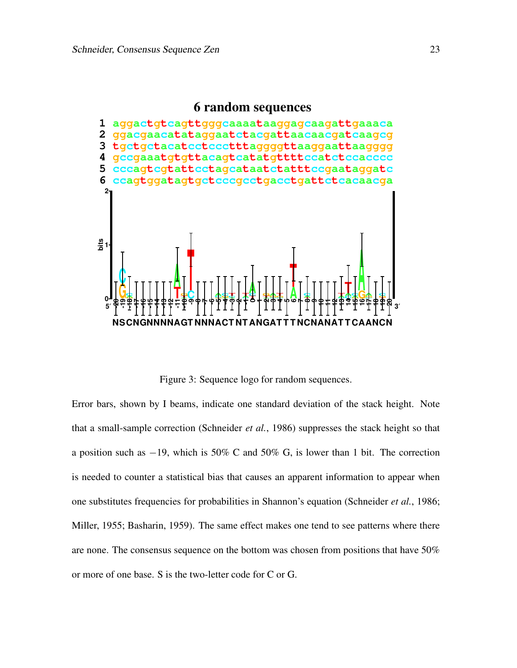## **6 random sequences**



Figure 3: Sequence logo for random sequences.

Error bars, shown by I beams, indicate one standard deviation of the stack height. Note that a small-sample correction (Schneider *et al.*, 1986) suppresses the stack height so that a position such as  $-19$ , which is 50% C and 50% G, is lower than 1 bit. The correction is needed to counter a statistical bias that causes an apparent information to appear when one substitutes frequencies for probabilities in Shannon's equation (Schneider *et al.*, 1986; Miller, 1955; Basharin, 1959). The same effect makes one tend to see patterns where there are none. The consensus sequence on the bottom was chosen from positions that have 50% or more of one base. S is the two-letter code for C or G.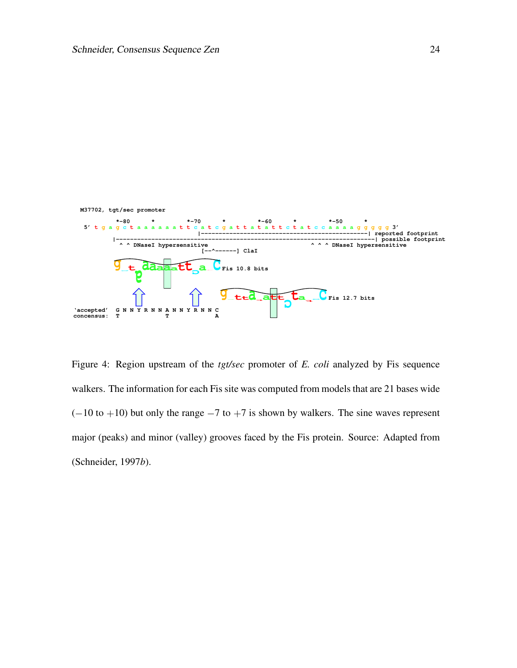

Figure 4: Region upstream of the *tgt/sec* promoter of *E. coli* analyzed by Fis sequence walkers. The information for each Fis site was computed from models that are 21 bases wide  $(-10$  to  $+10)$  but only the range  $-7$  to  $+7$  is shown by walkers. The sine waves represent major (peaks) and minor (valley) grooves faced by the Fis protein. Source: Adapted from (Schneider, 1997*b*).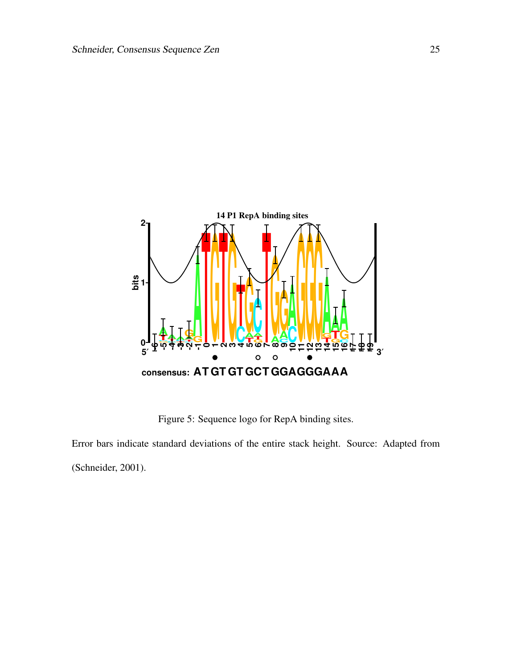

Figure 5: Sequence logo for RepA binding sites.

Error bars indicate standard deviations of the entire stack height. Source: Adapted from (Schneider, 2001).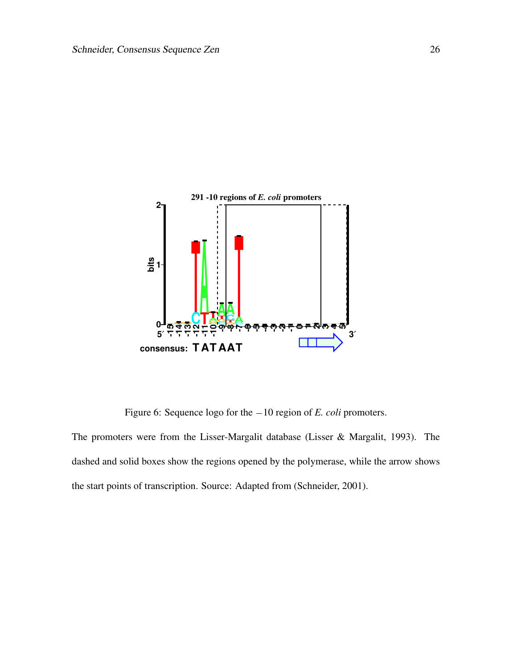

Figure 6: Sequence logo for the 10 region of *E. coli* promoters.

The promoters were from the Lisser-Margalit database (Lisser & Margalit, 1993). The dashed and solid boxes show the regions opened by the polymerase, while the arrow shows the start points of transcription. Source: Adapted from (Schneider, 2001).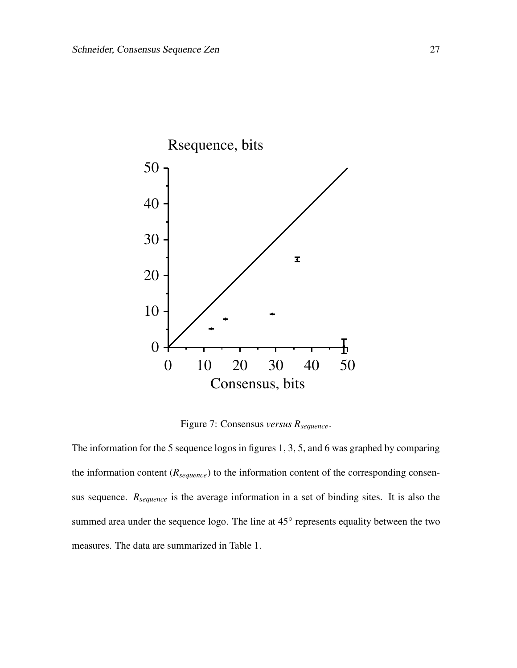

Figure 7: Consensus *versus Rsequence*.

The information for the 5 sequence logos in figures 1, 3, 5, and 6 was graphed by comparing the information content (*Rsequence*) to the information content of the corresponding consensus sequence. *Rsequence* is the average information in a set of binding sites. It is also the summed area under the sequence logo. The line at  $45^\circ$  represents equality between the two measures. The data are summarized in Table 1.